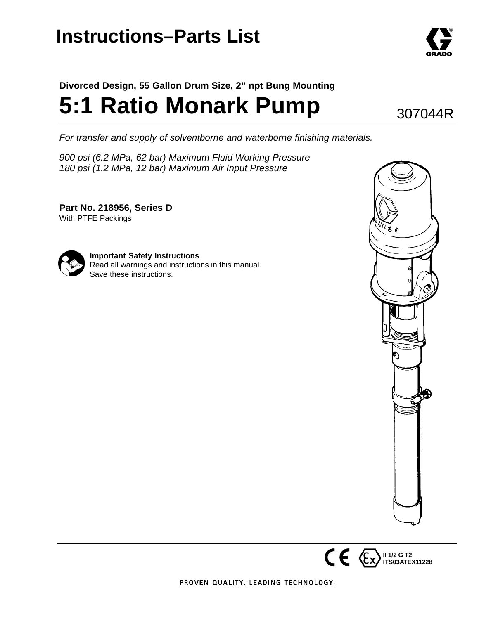## **Instructions–Parts List**

## **Divorced Design, 55 Gallon Drum Size, 2" npt Bung Mounting 5:1 Ratio Monark Pump**

*For transfer and supply of solventborne and waterborne finishing materials.*

*900 psi (6.2 MPa, 62 bar) Maximum Fluid Working Pressure 180 psi (1.2 MPa, 12 bar) Maximum Air Input Pressure*

**Part No. 218956, Series D** With PTFE Packings



**Important Safety Instructions** Read all warnings and instructions in this manual. Save these instructions.





**II 1/2 G T2**



307044R

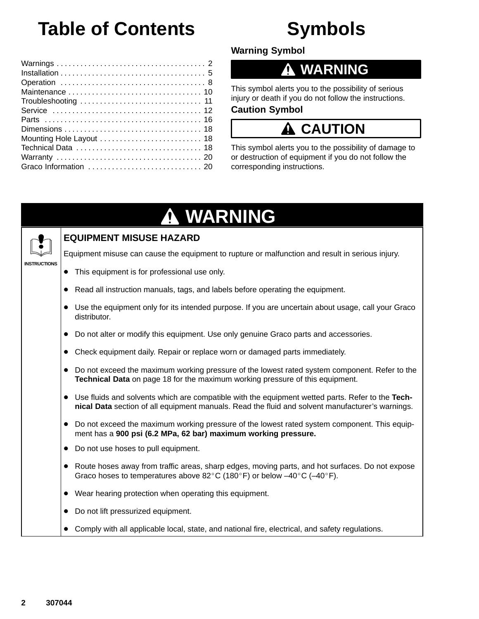# **Table of Contents**

## **Symbols**

**Warning Symbol**

### **WARNING**

This symbol alerts you to the possibility of serious injury or death if you do not follow the instructions.

#### **Caution Symbol**

## **A CAUTION**

This symbol alerts you to the possibility of damage to or destruction of equipment if you do not follow the corresponding instructions.

### **WARNING INSTRUCTIONS EQUIPMENT MISUSE HAZARD** Equipment misuse can cause the equipment to rupture or malfunction and result in serious injury. - This equipment is for professional use only. - Read all instruction manuals, tags, and labels before operating the equipment. - Use the equipment only for its intended purpose. If you are uncertain about usage, call your Graco distributor. • Do not alter or modify this equipment. Use only genuine Graco parts and accessories. - Check equipment daily. Repair or replace worn or damaged parts immediately. • Do not exceed the maximum working pressure of the lowest rated system component. Refer to the **Technical Data** on page 18 for the maximum working pressure of this equipment. - Use fluids and solvents which are compatible with the equipment wetted parts. Refer to the **Technical Data** section of all equipment manuals. Read the fluid and solvent manufacturer's warnings. • Do not exceed the maximum working pressure of the lowest rated system component. This equipment has a **900 psi (6.2 MPa, 62 bar) maximum working pressure.** • Do not use hoses to pull equipment. • Route hoses away from traffic areas, sharp edges, moving parts, and hot surfaces. Do not expose Graco hoses to temperatures above 82°C (180°F) or below  $-40^{\circ}$ C ( $-40^{\circ}$ F). - Wear hearing protection when operating this equipment. • Do not lift pressurized equipment. - Comply with all applicable local, state, and national fire, electrical, and safety regulations.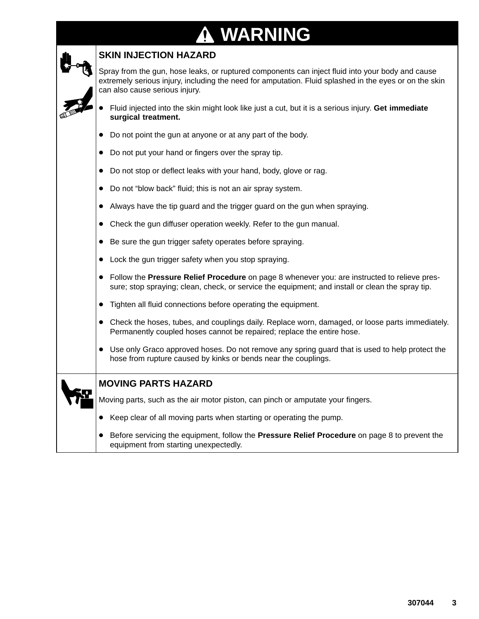# **A WARNING**

| <b>SKIN INJECTION HAZARD</b>                                                                                                                                                                                                                 |
|----------------------------------------------------------------------------------------------------------------------------------------------------------------------------------------------------------------------------------------------|
| Spray from the gun, hose leaks, or ruptured components can inject fluid into your body and cause<br>extremely serious injury, including the need for amputation. Fluid splashed in the eyes or on the skin<br>can also cause serious injury. |
| Fluid injected into the skin might look like just a cut, but it is a serious injury. Get immediate<br>surgical treatment.                                                                                                                    |
| Do not point the gun at anyone or at any part of the body.<br>$\bullet$                                                                                                                                                                      |
| Do not put your hand or fingers over the spray tip.<br>$\bullet$                                                                                                                                                                             |
| Do not stop or deflect leaks with your hand, body, glove or rag.<br>$\bullet$                                                                                                                                                                |
| Do not "blow back" fluid; this is not an air spray system.<br>$\bullet$                                                                                                                                                                      |
| Always have the tip guard and the trigger guard on the gun when spraying.                                                                                                                                                                    |
| Check the gun diffuser operation weekly. Refer to the gun manual.<br>$\bullet$                                                                                                                                                               |
| Be sure the gun trigger safety operates before spraying.<br>$\bullet$                                                                                                                                                                        |
| Lock the gun trigger safety when you stop spraying.<br>$\bullet$                                                                                                                                                                             |
| • Follow the Pressure Relief Procedure on page 8 whenever you: are instructed to relieve pres-<br>sure; stop spraying; clean, check, or service the equipment; and install or clean the spray tip.                                           |
| Tighten all fluid connections before operating the equipment.<br>$\bullet$                                                                                                                                                                   |
| Check the hoses, tubes, and couplings daily. Replace worn, damaged, or loose parts immediately.<br>$\bullet$<br>Permanently coupled hoses cannot be repaired; replace the entire hose.                                                       |
| Use only Graco approved hoses. Do not remove any spring guard that is used to help protect the<br>hose from rupture caused by kinks or bends near the couplings.                                                                             |
| <b>MOVING PARTS HAZARD</b>                                                                                                                                                                                                                   |
| Moving parts, such as the air motor piston, can pinch or amputate your fingers.                                                                                                                                                              |
| Keep clear of all moving parts when starting or operating the pump.<br>$\bullet$                                                                                                                                                             |
| Before servicing the equipment, follow the <b>Pressure Relief Procedure</b> on page 8 to prevent the<br>equipment from starting unexpectedly.                                                                                                |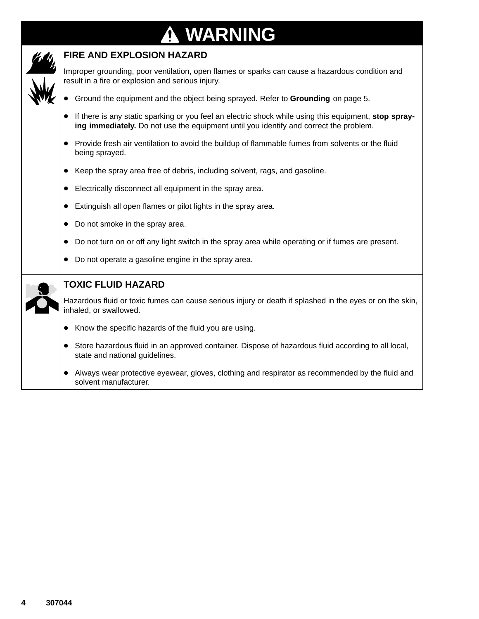### **WARNING**  $\bf \Phi$



#### **FIRE AND EXPLOSION HAZARD**

Improper grounding, poor ventilation, open flames or sparks can cause a hazardous condition and result in a fire or explosion and serious injury.

- Ground the equipment and the object being sprayed. Refer to **Grounding** on page 5.
- If there is any static sparking or you feel an electric shock while using this equipment, **stop spraying immediately.** Do not use the equipment until you identify and correct the problem.
- Provide fresh air ventilation to avoid the buildup of flammable fumes from solvents or the fluid being sprayed.
- Keep the spray area free of debris, including solvent, rags, and gasoline.
- Electrically disconnect all equipment in the spray area.
- Extinguish all open flames or pilot lights in the spray area.
- Do not smoke in the spray area.
- Do not turn on or off any light switch in the spray area while operating or if fumes are present.
- $\bullet$ Do not operate a gasoline engine in the spray area.

|  | <b>TOXIC FLUID HAZARD</b>                                                                                                                         |
|--|---------------------------------------------------------------------------------------------------------------------------------------------------|
|  | Hazardous fluid or toxic fumes can cause serious injury or death if splashed in the eyes or on the skin,<br>inhaled, or swallowed.                |
|  | Know the specific hazards of the fluid you are using.                                                                                             |
|  | Store hazardous fluid in an approved container. Dispose of hazardous fluid according to all local,<br>$\bullet$<br>state and national guidelines. |
|  | Always wear protective eyewear, gloves, clothing and respirator as recommended by the fluid and<br>solvent manufacturer.                          |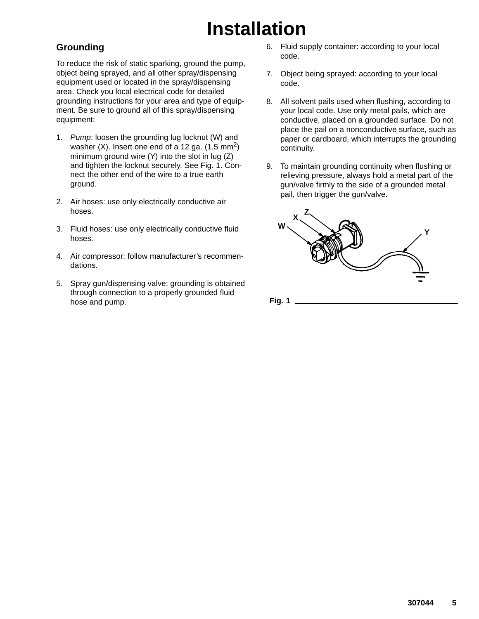# **Installation**

#### **Grounding**

To reduce the risk of static sparking, ground the pump, object being sprayed, and all other spray/dispensing equipment used or located in the spray/dispensing area. Check you local electrical code for detailed grounding instructions for your area and type of equipment. Be sure to ground all of this spray/dispensing equipment:

- 1. *Pump*: loosen the grounding lug locknut (W) and washer  $(X)$ . Insert one end of a 12 ga.  $(1.5 \text{ mm}^2)$ minimum ground wire (Y) into the slot in lug (Z) and tighten the locknut securely. See Fig. 1. Connect the other end of the wire to a true earth ground.
- 2. Air hoses: use only electrically conductive air hoses.
- 3. Fluid hoses: use only electrically conductive fluid hoses.
- 4. Air compressor: follow manufacturer's recommendations.
- 5. Spray gun/dispensing valve: grounding is obtained through connection to a properly grounded fluid hose and pump.
- 6. Fluid supply container: according to your local code.
- 7. Object being sprayed: according to your local code.
- 8. All solvent pails used when flushing, according to your local code. Use only metal pails, which are conductive, placed on a grounded surface. Do not place the pail on a nonconductive surface, such as paper or cardboard, which interrupts the grounding continuity.
- 9. To maintain grounding continuity when flushing or relieving pressure, always hold a metal part of the gun/valve firmly to the side of a grounded metal pail, then trigger the gun/valve.



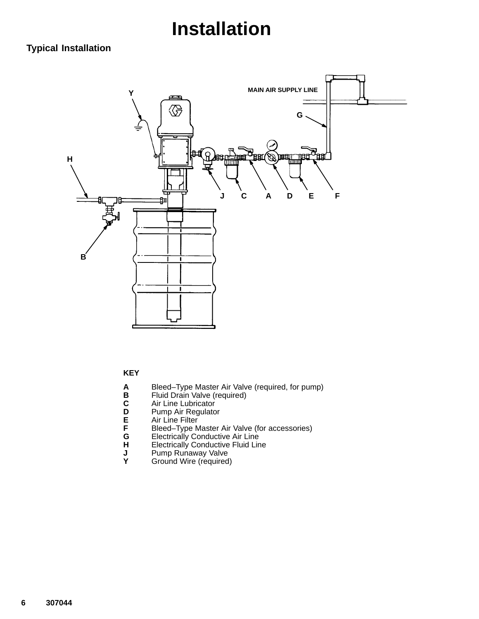## **Installation**

### **Typical Installation**



#### **KEY**

- **A** Bleed–Type Master Air Valve (required, for pump)
- **B** Fluid Drain Valve (required)
- 
- Pump Air Regulator
- Air Line Filter
- **A** Bleed-Type Maste<br> **B** Fluid Drain Valve (<br> **C** Air Line Lubricator<br> **D** Pump Air Regulato<br> **E** Air Line Filter<br> **F** Bleed-Type Maste<br> **G** Electrically Conduc **F** Bleed–Type Master Air Valve (for accessories)
- **G** Electrically Conductive Air Line
- **H** Electrically Conductive Fluid Line<br> **H** Electrically Conductive Fluid Line<br> **Y** Ground Wire (required)
- **J** Pump Runaway Valve
- **Y** Ground Wire (required)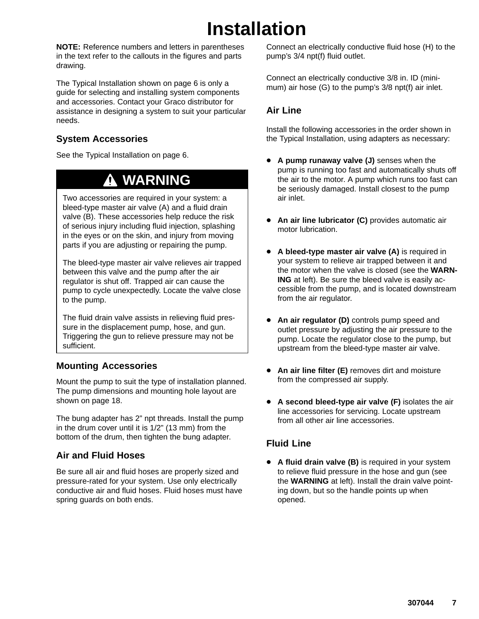## **Installation**

**NOTE:** Reference numbers and letters in parentheses in the text refer to the callouts in the figures and parts drawing.

The Typical Installation shown on page 6 is only a guide for selecting and installing system components and accessories. Contact your Graco distributor for assistance in designing a system to suit your particular needs.

#### **System Accessories**

See the Typical Installation on page 6.

## **WARNING**

Two accessories are required in your system: a bleed-type master air valve (A) and a fluid drain valve (B). These accessories help reduce the risk of serious injury including fluid injection, splashing in the eyes or on the skin, and injury from moving parts if you are adjusting or repairing the pump.

The bleed-type master air valve relieves air trapped between this valve and the pump after the air regulator is shut off. Trapped air can cause the pump to cycle unexpectedly. Locate the valve close to the pump.

The fluid drain valve assists in relieving fluid pressure in the displacement pump, hose, and gun. Triggering the gun to relieve pressure may not be sufficient.

### **Mounting Accessories**

Mount the pump to suit the type of installation planned. The pump dimensions and mounting hole layout are shown on page 18.

The bung adapter has 2" npt threads. Install the pump in the drum cover until it is 1/2" (13 mm) from the bottom of the drum, then tighten the bung adapter.

### **Air and Fluid Hoses**

Be sure all air and fluid hoses are properly sized and pressure-rated for your system. Use only electrically conductive air and fluid hoses. Fluid hoses must have spring guards on both ends.

Connect an electrically conductive fluid hose (H) to the pump's 3/4 npt(f) fluid outlet.

Connect an electrically conductive 3/8 in. ID (minimum) air hose (G) to the pump's 3/8 npt(f) air inlet.

### **Air Line**

Install the following accessories in the order shown in the Typical Installation, using adapters as necessary:

- **A pump runaway valve (J)** senses when the pump is running too fast and automatically shuts off the air to the motor. A pump which runs too fast can be seriously damaged. Install closest to the pump air inlet.
- $\bullet$  **An air line lubricator (C)** provides automatic air motor lubrication.
- - **A bleed-type master air valve (A)** is required in your system to relieve air trapped between it and the motor when the valve is closed (see the **WARN-ING** at left). Be sure the bleed valve is easily accessible from the pump, and is located downstream from the air regulator.
- - **An air regulator (D)** controls pump speed and outlet pressure by adjusting the air pressure to the pump. Locate the regulator close to the pump, but upstream from the bleed-type master air valve.
- **An air line filter (E)** removes dirt and moisture from the compressed air supply.
- $\bullet$  **A second bleed-type air valve (F)** isolates the air line accessories for servicing. Locate upstream from all other air line accessories.

### **Fluid Line**

**• A fluid drain valve (B)** is required in your system to relieve fluid pressure in the hose and gun (see the **WARNING** at left). Install the drain valve pointing down, but so the handle points up when opened.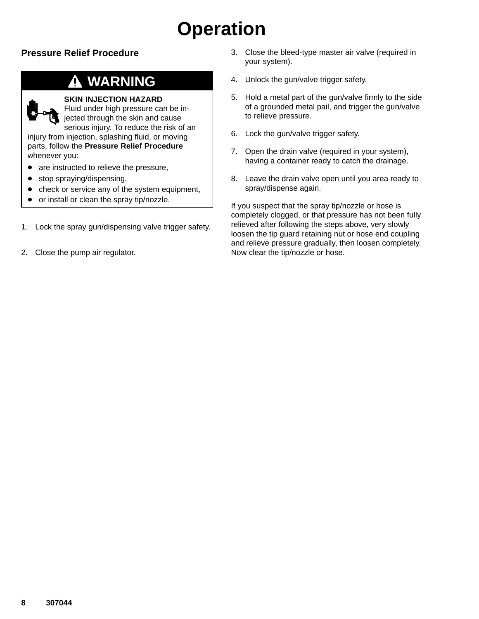# **Operation**

### **Pressure Relief Procedure**

## **WARNING**

#### **SKIN INJECTION HAZARD**

Fluid under high pressure can be injected through the skin and cause serious injury. To reduce the risk of an

injury from injection, splashing fluid, or moving parts, follow the **Pressure Relief Procedure** whenever you:

- are instructed to relieve the pressure,
- $\bullet$ stop spraying/dispensing,
- $\bullet$ check or service any of the system equipment,
- $\bullet$ or install or clean the spray tip/nozzle.
- 1. Lock the spray gun/dispensing valve trigger safety.
- 2. Close the pump air regulator.
- 3. Close the bleed-type master air valve (required in your system).
- 4. Unlock the gun/valve trigger safety.
- 5. Hold a metal part of the gun/valve firmly to the side of a grounded metal pail, and trigger the gun/valve to relieve pressure.
- 6. Lock the gun/valve trigger safety.
- 7. Open the drain valve (required in your system), having a container ready to catch the drainage.
- 8. Leave the drain valve open until you area ready to spray/dispense again.

If you suspect that the spray tip/nozzle or hose is completely clogged, or that pressure has not been fully relieved after following the steps above, very slowly loosen the tip guard retaining nut or hose end coupling and relieve pressure gradually, then loosen completely. Now clear the tip/nozzle or hose.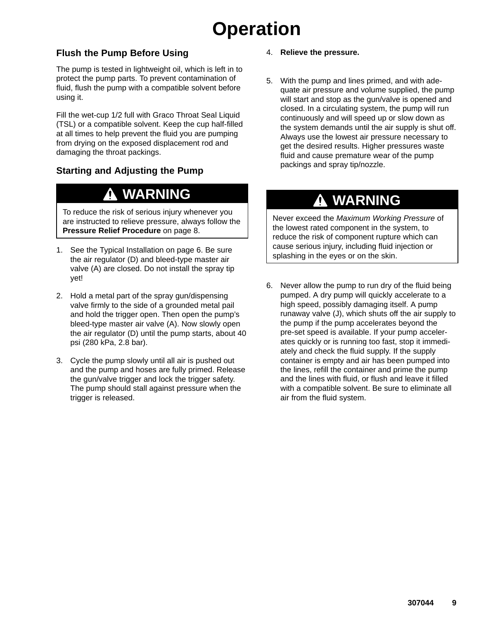# **Operation**

### **Flush the Pump Before Using**

The pump is tested in lightweight oil, which is left in to protect the pump parts. To prevent contamination of fluid, flush the pump with a compatible solvent before using it.

Fill the wet-cup 1/2 full with Graco Throat Seal Liquid (TSL) or a compatible solvent. Keep the cup half-filled at all times to help prevent the fluid you are pumping from drying on the exposed displacement rod and damaging the throat packings.

### **Starting and Adjusting the Pump**

## **WARNING**

To reduce the risk of serious injury whenever you are instructed to relieve pressure, always follow the **Pressure Relief Procedure** on page 8.

- 1. See the Typical Installation on page 6. Be sure the air regulator (D) and bleed-type master air valve (A) are closed. Do not install the spray tip yet!
- 2. Hold a metal part of the spray gun/dispensing valve firmly to the side of a grounded metal pail and hold the trigger open. Then open the pump's bleed-type master air valve (A). Now slowly open the air regulator (D) until the pump starts, about 40 psi (280 kPa, 2.8 bar).
- 3. Cycle the pump slowly until all air is pushed out and the pump and hoses are fully primed. Release the gun/valve trigger and lock the trigger safety. The pump should stall against pressure when the trigger is released.
- 4. **Relieve the pressure.**
- 5. With the pump and lines primed, and with adequate air pressure and volume supplied, the pump will start and stop as the gun/valve is opened and closed. In a circulating system, the pump will run continuously and will speed up or slow down as the system demands until the air supply is shut off. Always use the lowest air pressure necessary to get the desired results. Higher pressures waste fluid and cause premature wear of the pump packings and spray tip/nozzle.

### **WARNING**

Never exceed the *Maximum Working Pressure* of the lowest rated component in the system, to reduce the risk of component rupture which can cause serious injury, including fluid injection or splashing in the eyes or on the skin.

6. Never allow the pump to run dry of the fluid being pumped. A dry pump will quickly accelerate to a high speed, possibly damaging itself. A pump runaway valve (J), which shuts off the air supply to the pump if the pump accelerates beyond the pre-set speed is available. If your pump accelerates quickly or is running too fast, stop it immediately and check the fluid supply. If the supply container is empty and air has been pumped into the lines, refill the container and prime the pump and the lines with fluid, or flush and leave it filled with a compatible solvent. Be sure to eliminate all air from the fluid system.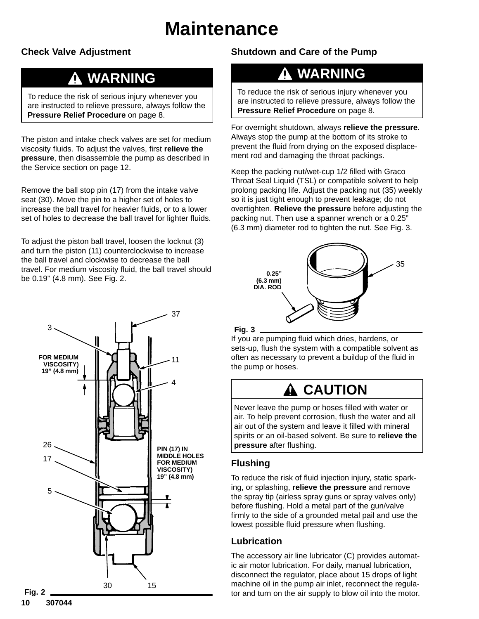## **Maintenance**

#### **Check Valve Adjustment**

### **WARNING**

To reduce the risk of serious injury whenever you are instructed to relieve pressure, always follow the **Pressure Relief Procedure** on page 8.

The piston and intake check valves are set for medium viscosity fluids. To adjust the valves, first **relieve the pressure**, then disassemble the pump as described in the Service section on page 12.

Remove the ball stop pin (17) from the intake valve seat (30). Move the pin to a higher set of holes to increase the ball travel for heavier fluids, or to a lower set of holes to decrease the ball travel for lighter fluids.

To adjust the piston ball travel, loosen the locknut (3) and turn the piston (11) counterclockwise to increase the ball travel and clockwise to decrease the ball travel. For medium viscosity fluid, the ball travel should be 0.19" (4.8 mm). See Fig. 2.



#### **Shutdown and Care of the Pump**

### **WARNING**

To reduce the risk of serious injury whenever you are instructed to relieve pressure, always follow the **Pressure Relief Procedure** on page 8.

For overnight shutdown, always **relieve the pressure**. Always stop the pump at the bottom of its stroke to prevent the fluid from drying on the exposed displacement rod and damaging the throat packings.

Keep the packing nut/wet-cup 1/2 filled with Graco Throat Seal Liquid (TSL) or compatible solvent to help prolong packing life. Adjust the packing nut (35) weekly so it is just tight enough to prevent leakage; do not overtighten. **Relieve the pressure** before adjusting the packing nut. Then use a spanner wrench or a 0.25" (6.3 mm) diameter rod to tighten the nut. See Fig. 3.



#### **Fig. 3**

If you are pumping fluid which dries, hardens, or sets-up, flush the system with a compatible solvent as often as necessary to prevent a buildup of the fluid in the pump or hoses.

## **A** CAUTION

Never leave the pump or hoses filled with water or air. To help prevent corrosion, flush the water and all air out of the system and leave it filled with mineral spirits or an oil-based solvent. Be sure to **relieve the pressure** after flushing.

### **Flushing**

To reduce the risk of fluid injection injury, static sparking, or splashing, **relieve the pressure** and remove the spray tip (airless spray guns or spray valves only) before flushing. Hold a metal part of the gun/valve firmly to the side of a grounded metal pail and use the lowest possible fluid pressure when flushing.

### **Lubrication**

The accessory air line lubricator (C) provides automatic air motor lubrication. For daily, manual lubrication, disconnect the regulator, place about 15 drops of light machine oil in the pump air inlet, reconnect the regulator and turn on the air supply to blow oil into the motor.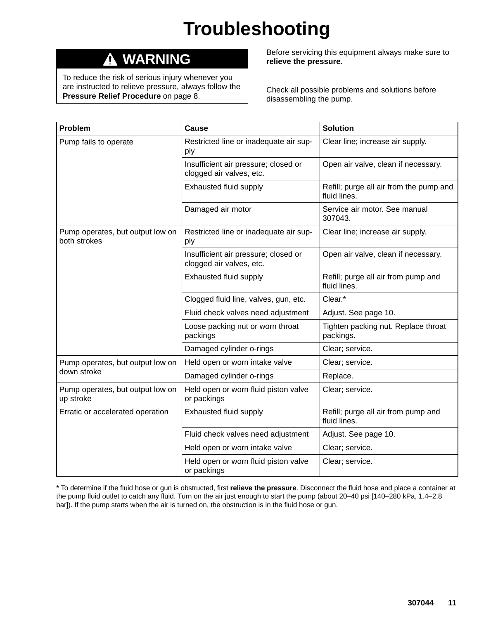# **Troubleshooting**

#### **WARNING**  $\boldsymbol{\Lambda}$

To reduce the risk of serious injury whenever you are instructed to relieve pressure, always follow the **Pressure Relief Procedure** on page 8.

Before servicing this equipment always make sure to **relieve the pressure**.

Check all possible problems and solutions before disassembling the pump.

| Problem                                          | Cause                                                            | <b>Solution</b>                                         |
|--------------------------------------------------|------------------------------------------------------------------|---------------------------------------------------------|
| Pump fails to operate                            | Restricted line or inadequate air sup-<br>ply                    | Clear line; increase air supply.                        |
|                                                  | Insufficient air pressure; closed or<br>clogged air valves, etc. | Open air valve, clean if necessary.                     |
|                                                  | Exhausted fluid supply                                           | Refill; purge all air from the pump and<br>fluid lines. |
|                                                  | Damaged air motor                                                | Service air motor. See manual<br>307043.                |
| Pump operates, but output low on<br>both strokes | Restricted line or inadequate air sup-<br>ply                    | Clear line; increase air supply.                        |
|                                                  | Insufficient air pressure; closed or<br>clogged air valves, etc. | Open air valve, clean if necessary.                     |
|                                                  | Exhausted fluid supply                                           | Refill; purge all air from pump and<br>fluid lines.     |
|                                                  | Clogged fluid line, valves, gun, etc.                            | Clear.*                                                 |
|                                                  | Fluid check valves need adjustment                               | Adjust. See page 10.                                    |
|                                                  | Loose packing nut or worn throat<br>packings                     | Tighten packing nut. Replace throat<br>packings.        |
|                                                  | Damaged cylinder o-rings                                         | Clear; service.                                         |
| Pump operates, but output low on                 | Held open or worn intake valve                                   | Clear; service.                                         |
| down stroke                                      | Damaged cylinder o-rings                                         | Replace.                                                |
| Pump operates, but output low on<br>up stroke    | Held open or worn fluid piston valve<br>or packings              | Clear; service.                                         |
| Erratic or accelerated operation                 | Exhausted fluid supply                                           | Refill; purge all air from pump and<br>fluid lines.     |
|                                                  | Fluid check valves need adjustment                               | Adjust. See page 10.                                    |
|                                                  | Held open or worn intake valve                                   | Clear; service.                                         |
|                                                  | Held open or worn fluid piston valve<br>or packings              | Clear; service.                                         |

\* To determine if the fluid hose or gun is obstructed, first **relieve the pressure**. Disconnect the fluid hose and place a container at the pump fluid outlet to catch any fluid. Turn on the air just enough to start the pump (about 20–40 psi [140–280 kPa, 1.4–2.8 bar]). If the pump starts when the air is turned on, the obstruction is in the fluid hose or gun.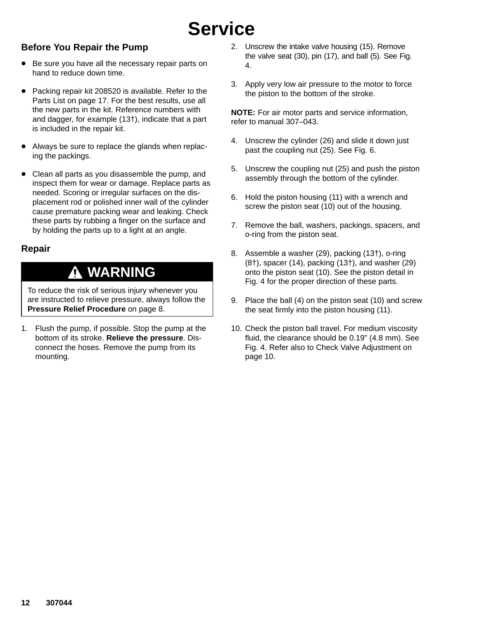#### **Before You Repair the Pump**

- Be sure you have all the necessary repair parts on hand to reduce down time.
- Packing repair kit 208520 is available. Refer to the Parts List on page 17. For the best results, use all the new parts in the kit. Reference numbers with and dagger, for example (13†), indicate that a part is included in the repair kit.
- - Always be sure to replace the glands when replacing the packings.
- - Clean all parts as you disassemble the pump, and inspect them for wear or damage. Replace parts as needed. Scoring or irregular surfaces on the displacement rod or polished inner wall of the cylinder cause premature packing wear and leaking. Check these parts by rubbing a finger on the surface and by holding the parts up to a light at an angle.

#### **Repair**

### **WARNING**

To reduce the risk of serious injury whenever you are instructed to relieve pressure, always follow the **Pressure Relief Procedure** on page 8.

1. Flush the pump, if possible. Stop the pump at the bottom of its stroke. **Relieve the pressure**. Disconnect the hoses. Remove the pump from its mounting.

- 2. Unscrew the intake valve housing (15). Remove the valve seat (30), pin (17), and ball (5). See Fig. 4.
- 3. Apply very low air pressure to the motor to force the piston to the bottom of the stroke.

**NOTE:** For air motor parts and service information, refer to manual 307–043.

- 4. Unscrew the cylinder (26) and slide it down just past the coupling nut (25). See Fig. 6.
- 5. Unscrew the coupling nut (25) and push the piston assembly through the bottom of the cylinder.
- 6. Hold the piston housing (11) with a wrench and screw the piston seat (10) out of the housing.
- 7. Remove the ball, washers, packings, spacers, and o-ring from the piston seat.
- 8. Assemble a washer (29), packing (13†), o-ring (8†), spacer (14), packing (13†), and washer (29) onto the piston seat (10). See the piston detail in Fig. 4 for the proper direction of these parts.
- 9. Place the ball (4) on the piston seat (10) and screw the seat firmly into the piston housing (11).
- 10. Check the piston ball travel. For medium viscosity fluid, the clearance should be 0.19" (4.8 mm). See Fig. 4. Refer also to Check Valve Adjustment on page 10.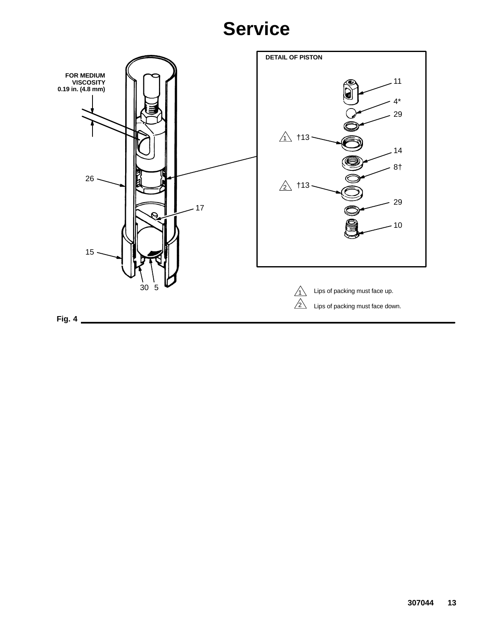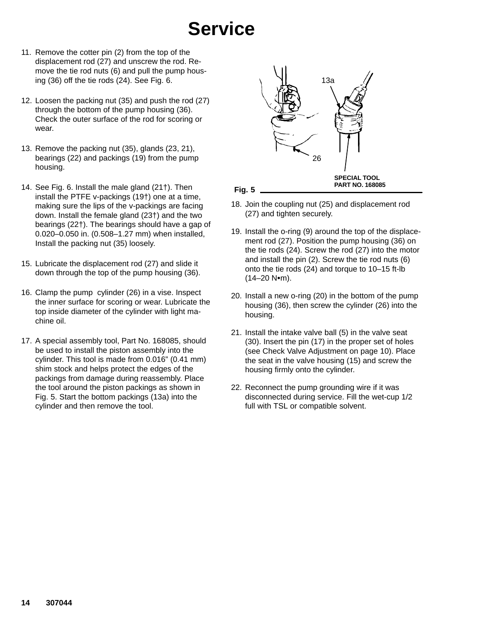- 11. Remove the cotter pin (2) from the top of the displacement rod (27) and unscrew the rod. Remove the tie rod nuts (6) and pull the pump housing (36) off the tie rods (24). See Fig. 6.
- 12. Loosen the packing nut (35) and push the rod (27) through the bottom of the pump housing (36). Check the outer surface of the rod for scoring or wear.
- 13. Remove the packing nut (35), glands (23, 21), bearings (22) and packings (19) from the pump housing.
- 14. See Fig. 6. Install the male gland (21†). Then install the PTFE v-packings (19†) one at a time, making sure the lips of the v-packings are facing down. Install the female gland (23†) and the two bearings (22†). The bearings should have a gap of 0.020–0.050 in. (0.508–1.27 mm) when installed, Install the packing nut (35) loosely.
- 15. Lubricate the displacement rod (27) and slide it down through the top of the pump housing (36).
- 16. Clamp the pump cylinder (26) in a vise. Inspect the inner surface for scoring or wear. Lubricate the top inside diameter of the cylinder with light machine oil.
- 17. A special assembly tool, Part No. 168085, should be used to install the piston assembly into the cylinder. This tool is made from 0.016" (0.41 mm) shim stock and helps protect the edges of the packings from damage during reassembly. Place the tool around the piston packings as shown in Fig. 5. Start the bottom packings (13a) into the cylinder and then remove the tool.



- 18. Join the coupling nut (25) and displacement rod (27) and tighten securely.
- 19. Install the o-ring (9) around the top of the displacement rod (27). Position the pump housing (36) on the tie rods (24). Screw the rod (27) into the motor and install the pin (2). Screw the tie rod nuts (6) onto the tie rods (24) and torque to 10–15 ft-lb  $(14-20 N·m)$ .
- 20. Install a new o-ring (20) in the bottom of the pump housing (36), then screw the cylinder (26) into the housing.
- 21. Install the intake valve ball (5) in the valve seat (30). Insert the pin (17) in the proper set of holes (see Check Valve Adjustment on page 10). Place the seat in the valve housing (15) and screw the housing firmly onto the cylinder.
- 22. Reconnect the pump grounding wire if it was disconnected during service. Fill the wet-cup 1/2 full with TSL or compatible solvent.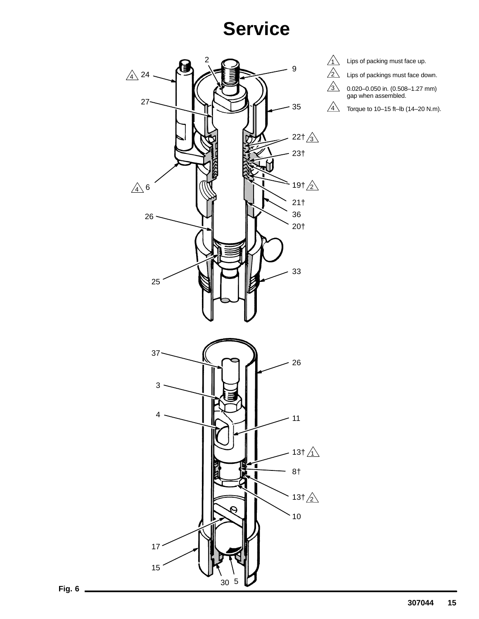

 $\sqrt{1}$  Lips of packing must face up.

Lips of packings must face down.

0.020–0.050 in. (0.508–1.27 mm) gap when assembled.

 $\frac{4}{1}$  Torque to 10–15 ft–lb (14–20 N.m).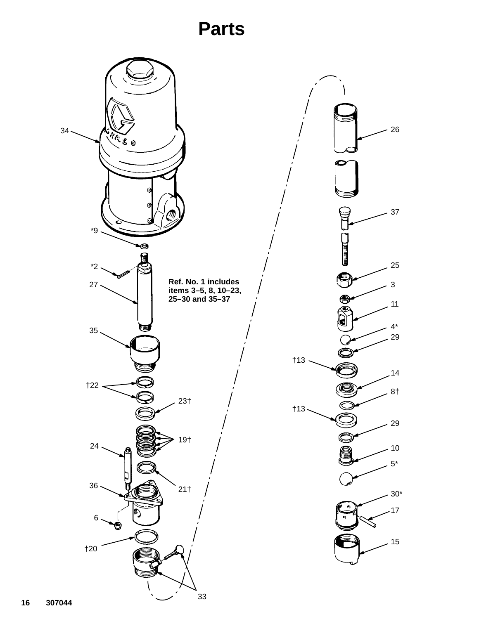## **Parts**

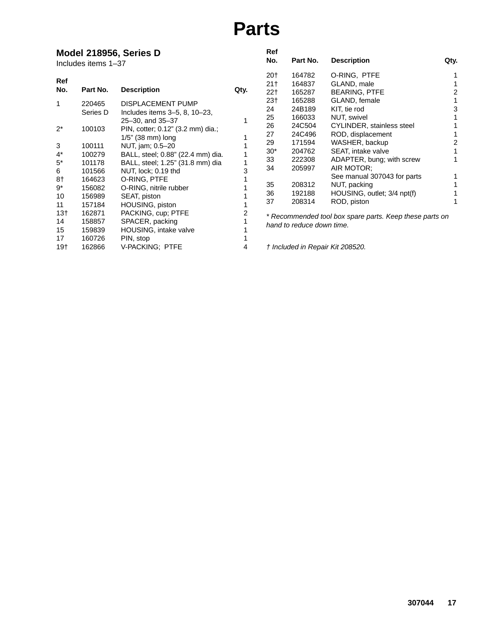## **Parts**

#### **Model 218956, Series D**

|                                                      | Includes items 1-37                            | Model 218956, Series D                                                                                       |      | Ref<br>No.                                | Part No.                   | <b>Description</b>                                                                          | Qty. |
|------------------------------------------------------|------------------------------------------------|--------------------------------------------------------------------------------------------------------------|------|-------------------------------------------|----------------------------|---------------------------------------------------------------------------------------------|------|
| Ref<br>No.                                           | Part No.                                       | <b>Description</b>                                                                                           | Qty. | 20 <sub>1</sub><br>21 <sub>†</sub><br>22† | 164782<br>164837<br>165287 | O-RING, PTFE<br>GLAND, male<br><b>BEARING, PTFE</b>                                         | 2    |
| 1                                                    | 220465<br>Series D                             | DISPLACEMENT PUMP<br>Includes items 3-5, 8, 10-23,<br>25-30, and 35-37                                       |      | 23 <sub>†</sub><br>24<br>25               | 165288<br>24B189<br>166033 | GLAND, female<br>KIT, tie rod<br>NUT, swivel                                                | 3    |
| $2^*$                                                | 100103                                         | PIN, cotter; 0.12" (3.2 mm) dia.;<br>1/5" (38 mm) long                                                       |      | 26<br>27<br>29                            | 24C504<br>24C496<br>171594 | CYLINDER, stainless steel<br>ROD, displacement<br>WASHER, backup                            | 2    |
| 3<br>$4^*$<br>$5^*$                                  | 100111<br>100279<br>101178                     | NUT, jam; 0.5-20<br>BALL, steel; 0.88" (22.4 mm) dia.<br>BALL, steel; 1.25" (31.8 mm) dia                    |      | $30*$<br>33<br>34                         | 204762<br>222308<br>205997 | SEAT, intake valve<br>ADAPTER, bung; with screw<br>AIR MOTOR:                               |      |
| 6<br>8†<br>9*<br>10<br>11                            | 101566<br>164623<br>156082<br>156989<br>157184 | NUT, lock; 0.19 thd<br>O-RING, PTFE<br>O-RING, nitrile rubber<br>SEAT, piston<br>HOUSING, piston             | 3    | 35<br>36<br>37                            | 208312<br>192188<br>208314 | See manual 307043 for parts<br>NUT, packing<br>HOUSING, outlet; 3/4 npt(f)<br>ROD, piston   |      |
| 13 <sub>†</sub><br>14<br>15<br>17<br>19 <sub>†</sub> | 162871<br>158857<br>159839<br>160726<br>162866 | PACKING, cup; PTFE<br>SPACER, packing<br><b>HOUSING, intake valve</b><br>PIN, stop<br><b>V-PACKING: PTFE</b> | 4    |                                           | hand to reduce down time.  | * Recommended tool box spare parts. Keep these parts on<br>† Included in Repair Kit 208520. |      |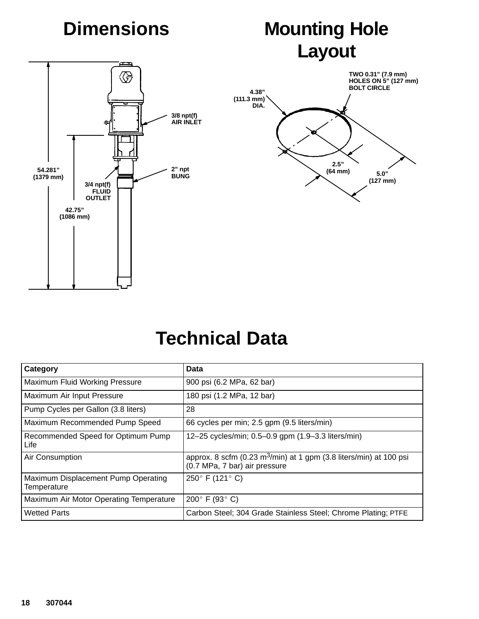# **Dimensions**

# **Mounting Hole Layout**

**2.5" (64 mm)**

**TWO 0.31" (7.9 mm) HOLES ON 5" (127 mm) BOLT CIRCLE**

> **5.0" (127 mm)**



## **Technical Data**

| Category                                           | Data                                                                                                            |
|----------------------------------------------------|-----------------------------------------------------------------------------------------------------------------|
| Maximum Fluid Working Pressure                     | 900 psi (6.2 MPa, 62 bar)                                                                                       |
| Maximum Air Input Pressure                         | 180 psi (1.2 MPa, 12 bar)                                                                                       |
| Pump Cycles per Gallon (3.8 liters)                | 28                                                                                                              |
| Maximum Recommended Pump Speed                     | 66 cycles per min; 2.5 gpm (9.5 liters/min)                                                                     |
| Recommended Speed for Optimum Pump<br>Life         | 12-25 cycles/min; 0.5-0.9 gpm (1.9-3.3 liters/min)                                                              |
| Air Consumption                                    | approx. 8 scfm (0.23 m <sup>3</sup> /min) at 1 gpm (3.8 liters/min) at 100 psi<br>(0.7 MPa, 7 bar) air pressure |
| Maximum Displacement Pump Operating<br>Temperature | 250 $\degree$ F (121 $\degree$ C)                                                                               |
| Maximum Air Motor Operating Temperature            | 200 $\degree$ F (93 $\degree$ C)                                                                                |
| <b>Wetted Parts</b>                                | Carbon Steel; 304 Grade Stainless Steel; Chrome Plating; PTFE                                                   |